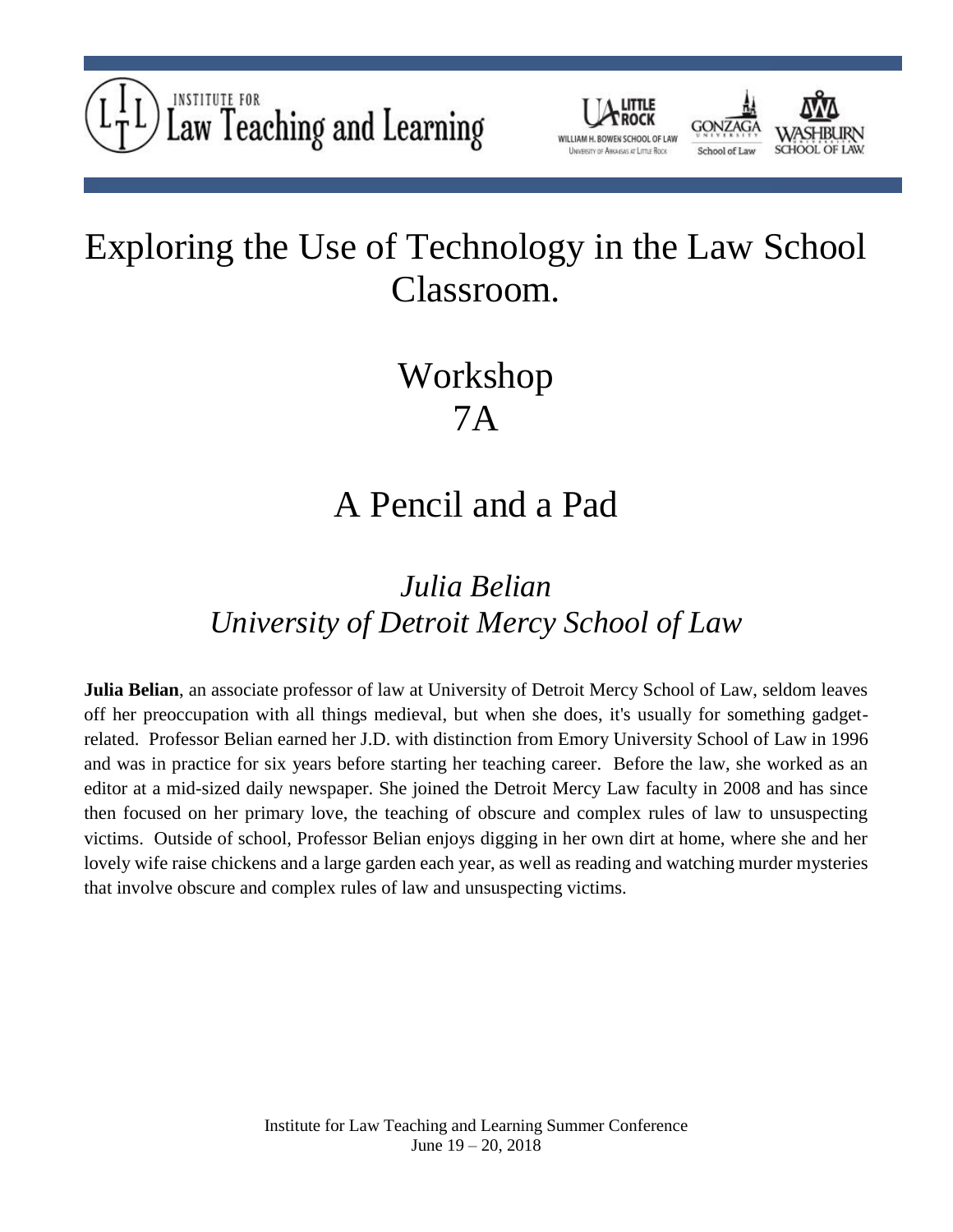



## Exploring the Use of Technology in the Law School Classroom.

# Workshop 7A

### A Pencil and a Pad

#### *Julia Belian University of Detroit Mercy School of Law*

**Julia Belian**, an associate professor of law at University of Detroit Mercy School of Law, seldom leaves off her preoccupation with all things medieval, but when she does, it's usually for something gadgetrelated. Professor Belian earned her J.D. with distinction from Emory University School of Law in 1996 and was in practice for six years before starting her teaching career. Before the law, she worked as an editor at a mid-sized daily newspaper. She joined the Detroit Mercy Law faculty in 2008 and has since then focused on her primary love, the teaching of obscure and complex rules of law to unsuspecting victims. Outside of school, Professor Belian enjoys digging in her own dirt at home, where she and her lovely wife raise chickens and a large garden each year, as well as reading and watching murder mysteries that involve obscure and complex rules of law and unsuspecting victims.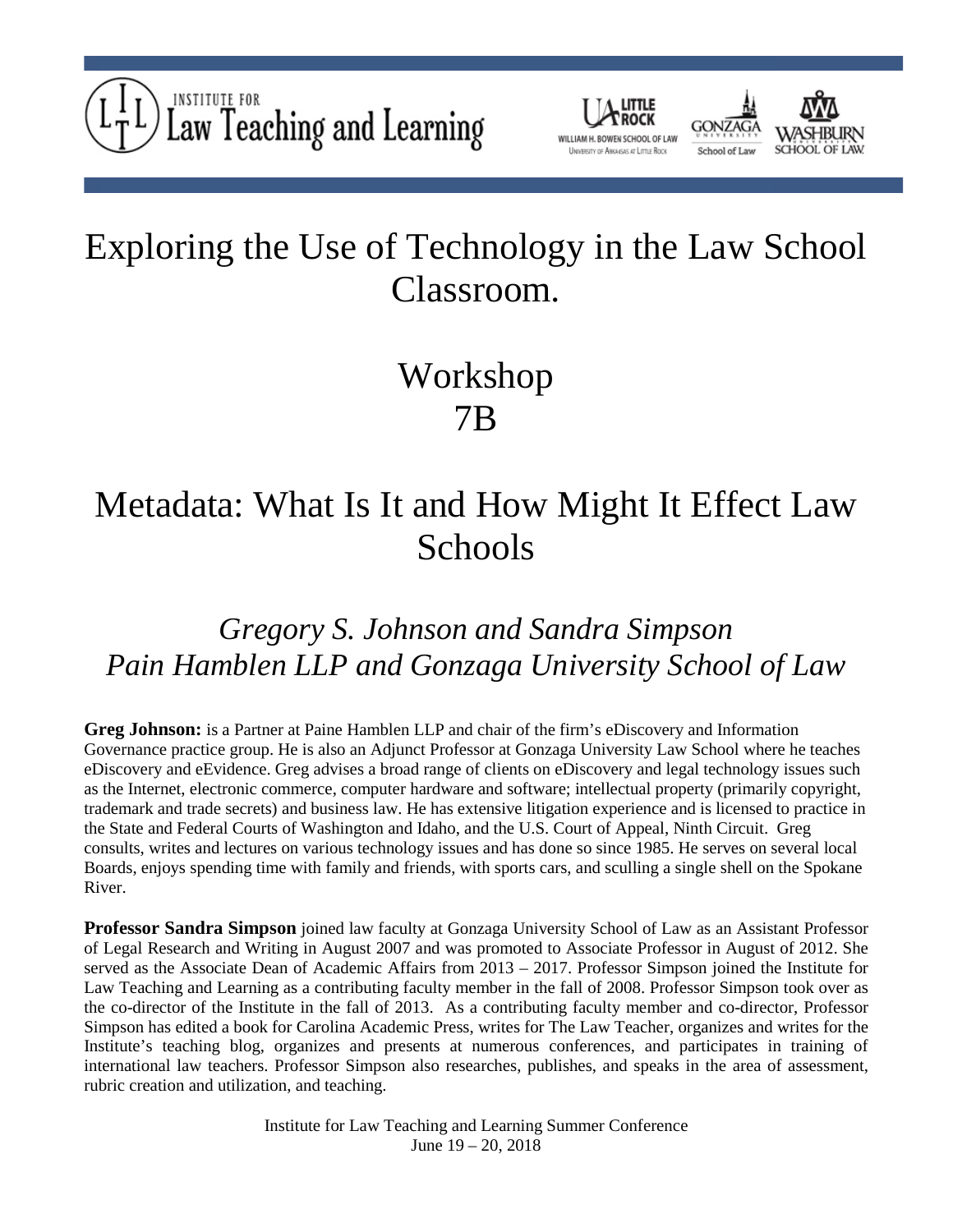





# Workshop 7B

### Metadata: What Is It and How Might It Effect Law Schools

#### *Gregory S. Johnson and Sandra Simpson Pain Hamblen LLP and Gonzaga University School of Law*

**Greg Johnson:** is a Partner at Paine Hamblen LLP and chair of the firm's eDiscovery and Information Governance practice group. He is also an Adjunct Professor at Gonzaga University Law School where he teaches eDiscovery and eEvidence. Greg advises a broad range of clients on eDiscovery and legal technology issues such as the Internet, electronic commerce, computer hardware and software; intellectual property (primarily copyright, trademark and trade secrets) and business law. He has extensive litigation experience and is licensed to practice in the State and Federal Courts of Washington and Idaho, and the U.S. Court of Appeal, Ninth Circuit. Greg consults, writes and lectures on various technology issues and has done so since 1985. He serves on several local Boards, enjoys spending time with family and friends, with sports cars, and sculling a single shell on the Spokane River.

**Professor Sandra Simpson** joined law faculty at Gonzaga University School of Law as an Assistant Professor of Legal Research and Writing in August 2007 and was promoted to Associate Professor in August of 2012. She served as the Associate Dean of Academic Affairs from 2013 – 2017. Professor Simpson joined the Institute for Law Teaching and Learning as a contributing faculty member in the fall of 2008. Professor Simpson took over as the co-director of the Institute in the fall of 2013. As a contributing faculty member and co-director, Professor Simpson has edited a book for Carolina Academic Press, writes for The Law Teacher, organizes and writes for the Institute's teaching blog, organizes and presents at numerous conferences, and participates in training of international law teachers. Professor Simpson also researches, publishes, and speaks in the area of assessment, rubric creation and utilization, and teaching.

> Institute for Law Teaching and Learning Summer Conference June 19 – 20, 2018